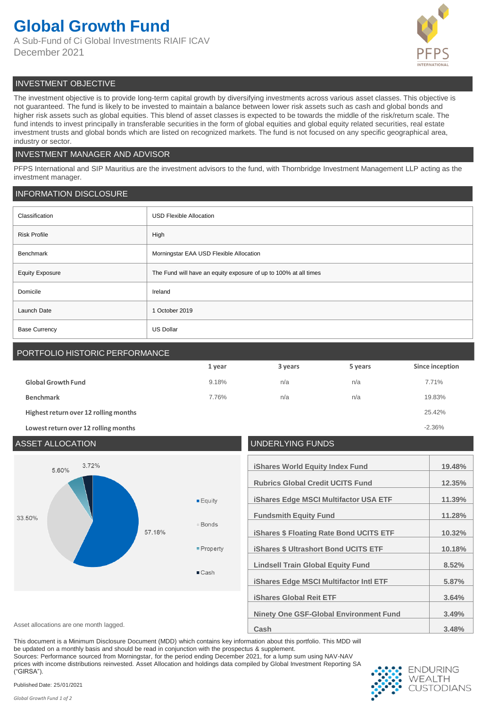# **Global Growth Fund**

A Sub-Fund of Ci Global Investments RIAIF ICAV December 2021



# INVESTMENT OBJECTIVE

The investment objective is to provide long-term capital growth by diversifying investments across various asset classes. This objective is not guaranteed. The fund is likely to be invested to maintain a balance between lower risk assets such as cash and global bonds and higher risk assets such as global equities. This blend of asset classes is expected to be towards the middle of the risk/return scale. The fund intends to invest principally in transferable securities in the form of global equities and global equity related securities, real estate investment trusts and global bonds which are listed on recognized markets. The fund is not focused on any specific geographical area, industry or sector.

# INVESTMENT MANAGER AND ADVISOR

PFPS International and SIP Mauritius are the investment advisors to the fund, with Thornbridge Investment Management LLP acting as the investment manager.

# INFORMATION DISCLOSURE

| Classification         | <b>USD Flexible Allocation</b>                                   |  |
|------------------------|------------------------------------------------------------------|--|
| <b>Risk Profile</b>    | High                                                             |  |
| Benchmark              | Morningstar EAA USD Flexible Allocation                          |  |
| <b>Equity Exposure</b> | The Fund will have an equity exposure of up to 100% at all times |  |
| Domicile               | Ireland                                                          |  |
| Launch Date            | 1 October 2019                                                   |  |
| <b>Base Currency</b>   | <b>US Dollar</b>                                                 |  |

# PORTFOLIO HISTORIC PERFORMANCE

|                                       | 1 year | 3 years | 5 years | Since inception |
|---------------------------------------|--------|---------|---------|-----------------|
| <b>Global Growth Fund</b>             | 9.18%  | n/a     | n/a     | 7.71%           |
| <b>Benchmark</b>                      | 7.76%  | n/a     | n/a     | 19.83%          |
| Highest return over 12 rolling months |        |         |         | 25.42%          |
| Lowest return over 12 rolling months  |        |         |         | $-2.36%$        |



This document is a Minimum Disclosure Document (MDD) which contains key information about this portfolio. This MDD will be updated on a monthly basis and should be read in conjunction with the prospectus & supplement.

Sources: Performance sourced from Morningstar, for the period ending December 2021, for a lump sum using NAV-NAV prices with income distributions reinvested. Asset Allocation and holdings data compiled by Global Investment Reporting SA ("GIRSA").



Published Date: 25/01/2021